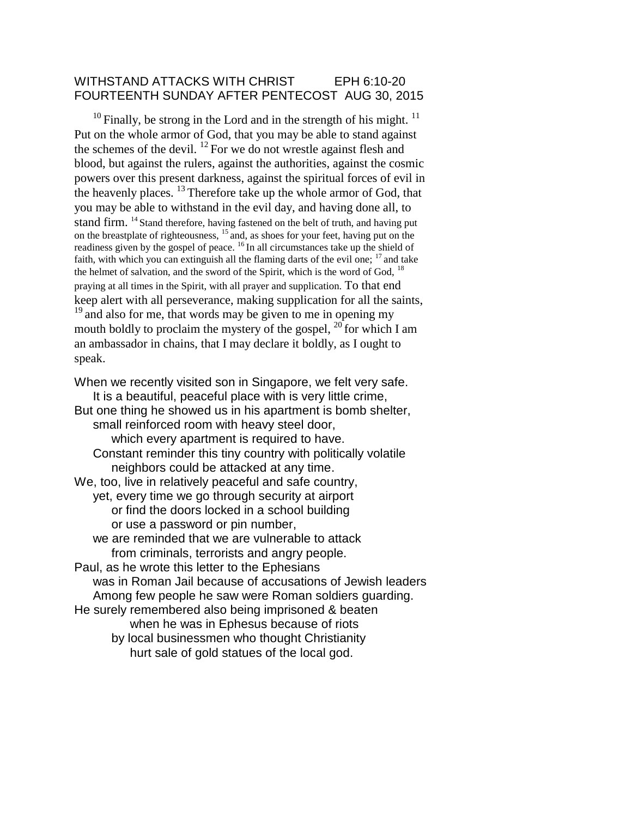### WITHSTAND ATTACKS WITH CHRIST EPH 6:10-20 FOURTEENTH SUNDAY AFTER PENTECOST AUG 30, 2015

 $10$  Finally, be strong in the Lord and in the strength of his might.  $11$ Put on the whole armor of God, that you may be able to stand against the schemes of the devil.  $^{12}$  For we do not wrestle against flesh and blood, but against the rulers, against the authorities, against the cosmic powers over this present darkness, against the spiritual forces of evil in the heavenly places.  $^{13}$  Therefore take up the whole armor of God, that you may be able to withstand in the evil day, and having done all, to stand firm. <sup>14</sup> Stand therefore, having fastened on the belt of truth, and having put on the breastplate of righteousness, <sup>15</sup> and, as shoes for your feet, having put on the readiness given by the gospel of peace. <sup>16</sup>In all circumstances take up the shield of faith, with which you can extinguish all the flaming darts of the evil one;  $17$  and take the helmet of salvation, and the sword of the Spirit, which is the word of God, <sup>18</sup> praying at all times in the Spirit, with all prayer and supplication. To that end keep alert with all perseverance, making supplication for all the saints, <sup>19</sup> and also for me, that words may be given to me in opening my mouth boldly to proclaim the mystery of the gospel,  $^{20}$  for which I am an ambassador in chains, that I may declare it boldly, as I ought to speak.

When we recently visited son in Singapore, we felt very safe.

It is a beautiful, peaceful place with is very little crime, But one thing he showed us in his apartment is bomb shelter, small reinforced room with heavy steel door, which every apartment is required to have. Constant reminder this tiny country with politically volatile neighbors could be attacked at any time. We, too, live in relatively peaceful and safe country, yet, every time we go through security at airport or find the doors locked in a school building or use a password or pin number, we are reminded that we are vulnerable to attack from criminals, terrorists and angry people. Paul, as he wrote this letter to the Ephesians was in Roman Jail because of accusations of Jewish leaders Among few people he saw were Roman soldiers guarding. He surely remembered also being imprisoned & beaten when he was in Ephesus because of riots by local businessmen who thought Christianity hurt sale of gold statues of the local god.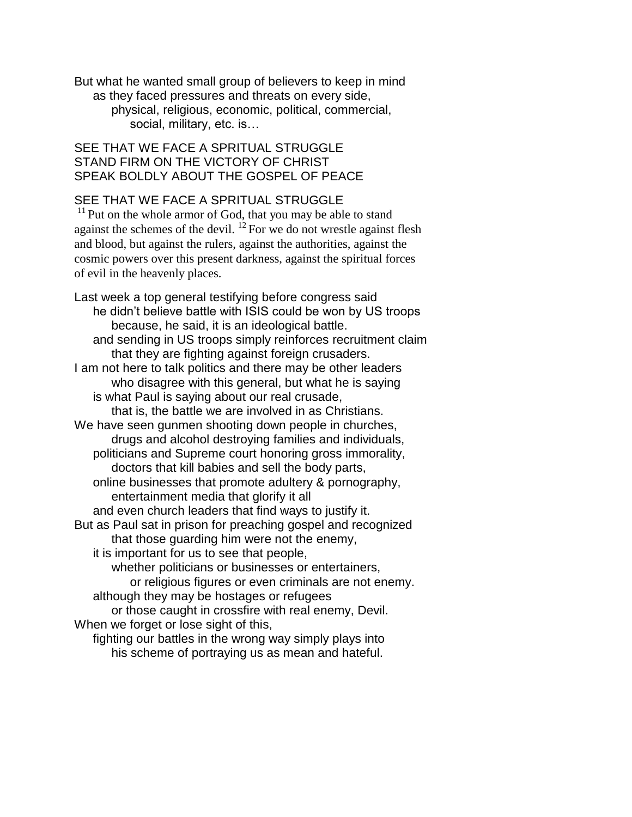But what he wanted small group of believers to keep in mind as they faced pressures and threats on every side, physical, religious, economic, political, commercial, social, military, etc. is...

## SEE THAT WE FACE A SPRITUAL STRUGGLE STAND FIRM ON THE VICTORY OF CHRIST SPEAK BOLDLY ABOUT THE GOSPEL OF PEACE

# SEE THAT WE FACE A SPRITUAL STRUGGLE

 $11$  Put on the whole armor of God, that you may be able to stand against the schemes of the devil.  $^{12}$  For we do not wrestle against flesh and blood, but against the rulers, against the authorities, against the cosmic powers over this present darkness, against the spiritual forces of evil in the heavenly places.

Last week a top general testifying before congress said he didn't believe battle with ISIS could be won by US troops because, he said, it is an ideological battle. and sending in US troops simply reinforces recruitment claim that they are fighting against foreign crusaders. I am not here to talk politics and there may be other leaders who disagree with this general, but what he is saying is what Paul is saying about our real crusade, that is, the battle we are involved in as Christians. We have seen gunmen shooting down people in churches, drugs and alcohol destroying families and individuals, politicians and Supreme court honoring gross immorality, doctors that kill babies and sell the body parts, online businesses that promote adultery & pornography, entertainment media that glorify it all and even church leaders that find ways to justify it. But as Paul sat in prison for preaching gospel and recognized that those guarding him were not the enemy, it is important for us to see that people, whether politicians or businesses or entertainers, or religious figures or even criminals are not enemy. although they may be hostages or refugees or those caught in crossfire with real enemy, Devil. When we forget or lose sight of this, fighting our battles in the wrong way simply plays into his scheme of portraying us as mean and hateful.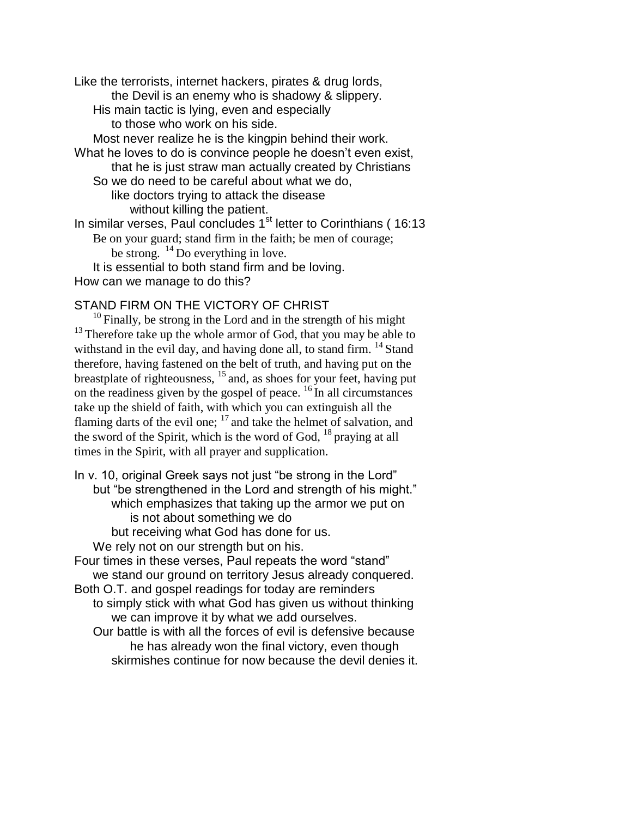Like the terrorists, internet hackers, pirates & drug lords, the Devil is an enemy who is shadowy & slippery. His main tactic is lying, even and especially to those who work on his side. Most never realize he is the kingpin behind their work. What he loves to do is convince people he doesn't even exist, that he is just straw man actually created by Christians So we do need to be careful about what we do, like doctors trying to attack the disease without killing the patient. In similar verses, Paul concludes 1<sup>st</sup> letter to Corinthians (16:13 Be on your guard; stand firm in the faith; be men of courage; be strong.  $^{14}$  Do everything in love. It is essential to both stand firm and be loving. How can we manage to do this?

## STAND FIRM ON THE VICTORY OF CHRIST

 $10$  Finally, be strong in the Lord and in the strength of his might  $13$  Therefore take up the whole armor of God, that you may be able to withstand in the evil day, and having done all, to stand firm.  $^{14}$  Stand therefore, having fastened on the belt of truth, and having put on the breastplate of righteousness,  $^{15}$  and, as shoes for your feet, having put on the readiness given by the gospel of peace.  $16$  In all circumstances take up the shield of faith, with which you can extinguish all the flaming darts of the evil one;  $17$  and take the helmet of salvation, and the sword of the Spirit, which is the word of God,  $^{18}$  praying at all times in the Spirit, with all prayer and supplication.

In v. 10, original Greek says not just "be strong in the Lord" but "be strengthened in the Lord and strength of his might." which emphasizes that taking up the armor we put on is not about something we do but receiving what God has done for us.

We rely not on our strength but on his.

Four times in these verses, Paul repeats the word "stand" we stand our ground on territory Jesus already conquered. Both O.T. and gospel readings for today are reminders

to simply stick with what God has given us without thinking we can improve it by what we add ourselves.

Our battle is with all the forces of evil is defensive because he has already won the final victory, even though skirmishes continue for now because the devil denies it.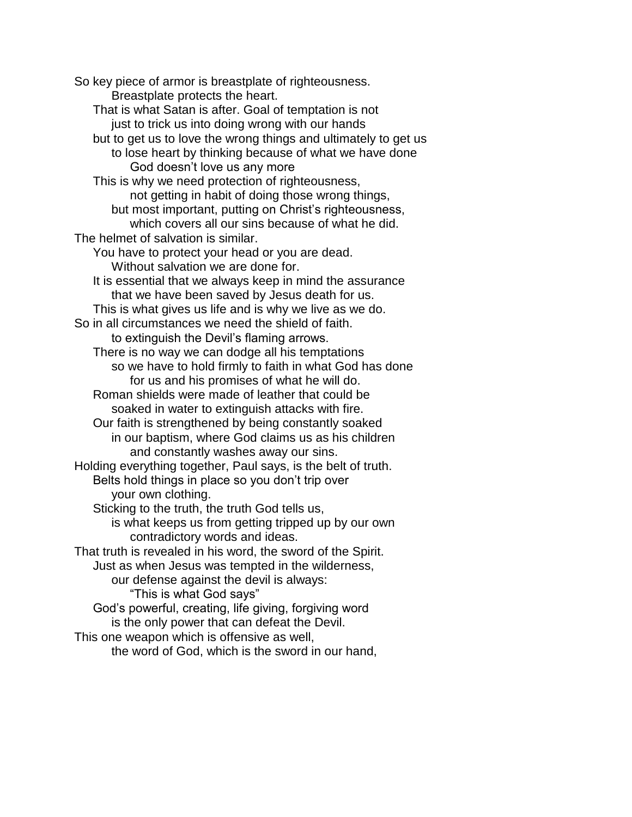So key piece of armor is breastplate of righteousness. Breastplate protects the heart. That is what Satan is after. Goal of temptation is not just to trick us into doing wrong with our hands but to get us to love the wrong things and ultimately to get us to lose heart by thinking because of what we have done God doesn't love us any more This is why we need protection of righteousness, not getting in habit of doing those wrong things, but most important, putting on Christ's righteousness, which covers all our sins because of what he did. The helmet of salvation is similar. You have to protect your head or you are dead. Without salvation we are done for. It is essential that we always keep in mind the assurance that we have been saved by Jesus death for us. This is what gives us life and is why we live as we do. So in all circumstances we need the shield of faith. to extinguish the Devil's flaming arrows. There is no way we can dodge all his temptations so we have to hold firmly to faith in what God has done for us and his promises of what he will do. Roman shields were made of leather that could be soaked in water to extinguish attacks with fire. Our faith is strengthened by being constantly soaked in our baptism, where God claims us as his children and constantly washes away our sins. Holding everything together, Paul says, is the belt of truth. Belts hold things in place so you don't trip over your own clothing. Sticking to the truth, the truth God tells us, is what keeps us from getting tripped up by our own contradictory words and ideas. That truth is revealed in his word, the sword of the Spirit. Just as when Jesus was tempted in the wilderness, our defense against the devil is always: "This is what God says" God's powerful, creating, life giving, forgiving word is the only power that can defeat the Devil. This one weapon which is offensive as well, the word of God, which is the sword in our hand,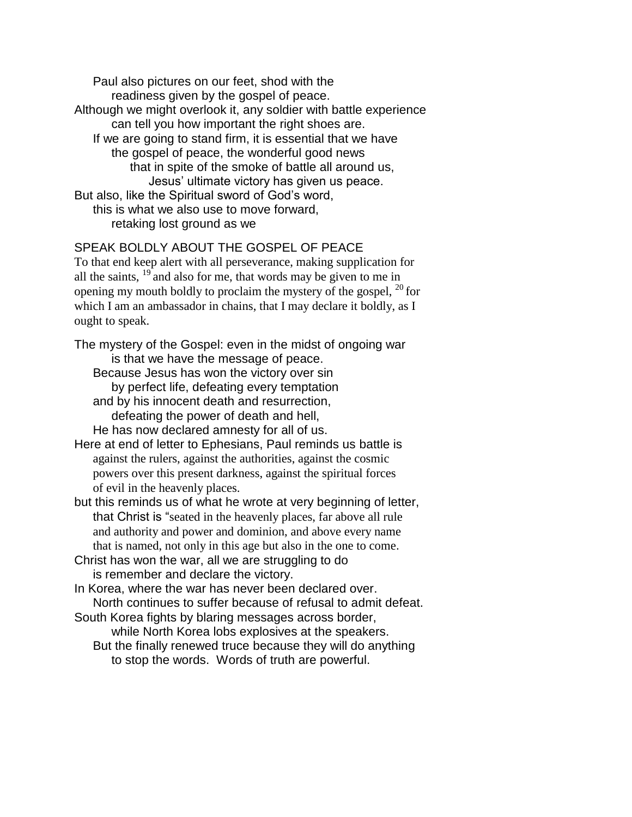Paul also pictures on our feet, shod with the readiness given by the gospel of peace. Although we might overlook it, any soldier with battle experience can tell you how important the right shoes are. If we are going to stand firm, it is essential that we have the gospel of peace, the wonderful good news that in spite of the smoke of battle all around us, Jesus' ultimate victory has given us peace. But also, like the Spiritual sword of God's word, this is what we also use to move forward, retaking lost ground as we

### SPEAK BOLDLY ABOUT THE GOSPEL OF PEACE

To that end keep alert with all perseverance, making supplication for all the saints,  $^{19}$  and also for me, that words may be given to me in opening my mouth boldly to proclaim the mystery of the gospel,  $^{20}$  for which I am an ambassador in chains, that I may declare it boldly, as I ought to speak.

The mystery of the Gospel: even in the midst of ongoing war is that we have the message of peace.

Because Jesus has won the victory over sin by perfect life, defeating every temptation and by his innocent death and resurrection, defeating the power of death and hell,

He has now declared amnesty for all of us.

Here at end of letter to Ephesians, Paul reminds us battle is against the rulers, against the authorities, against the cosmic powers over this present darkness, against the spiritual forces of evil in the heavenly places.

but this reminds us of what he wrote at very beginning of letter, that Christ is "seated in the heavenly places, far above all rule and authority and power and dominion, and above every name that is named, not only in this age but also in the one to come.

Christ has won the war, all we are struggling to do is remember and declare the victory.

In Korea, where the war has never been declared over. North continues to suffer because of refusal to admit defeat.

South Korea fights by blaring messages across border,

while North Korea lobs explosives at the speakers.

But the finally renewed truce because they will do anything to stop the words. Words of truth are powerful.